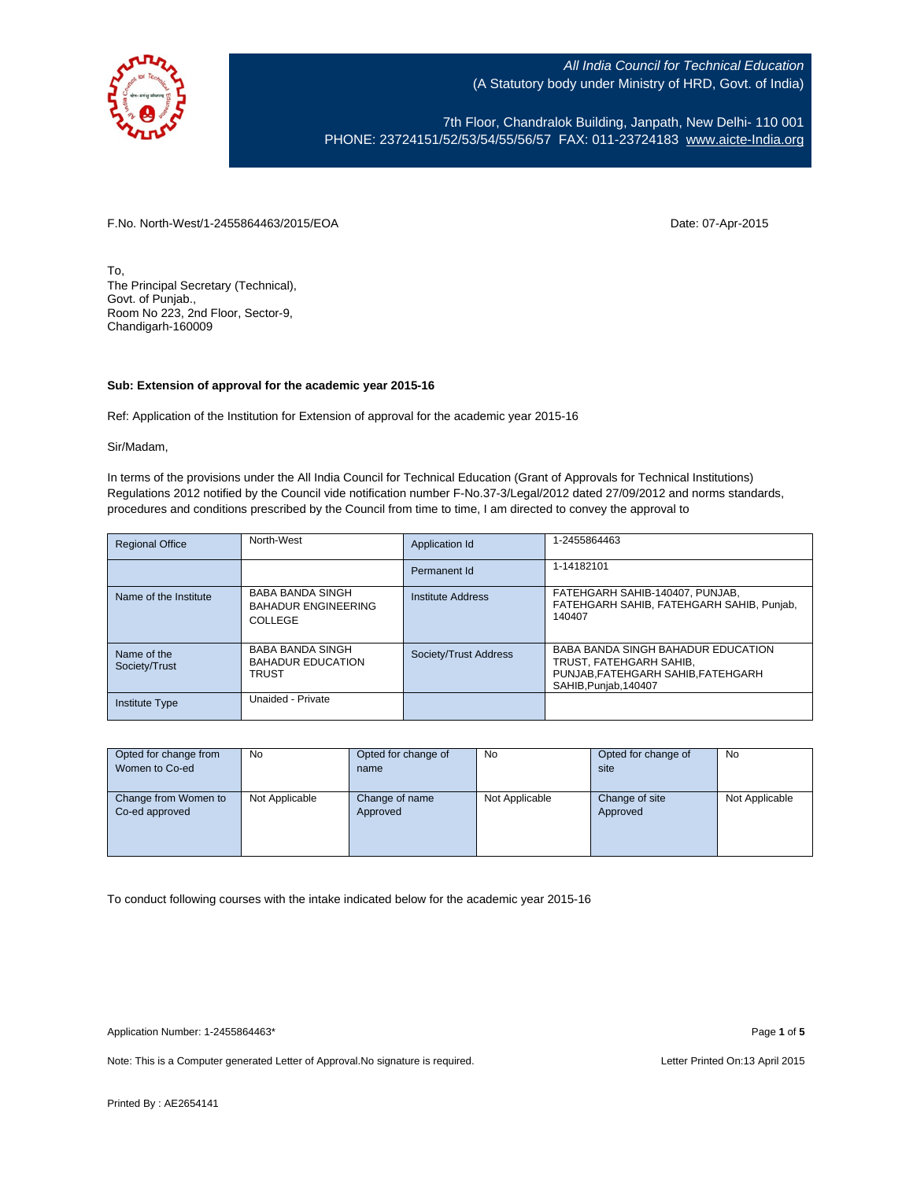

7th Floor, Chandralok Building, Janpath, New Delhi- 110 001 PHONE: 23724151/52/53/54/55/56/57 FAX: 011-23724183 [www.aicte-India.org](http://www.aicte-india.org/)

F.No. North-West/1-2455864463/2015/EOA Date: 07-Apr-2015

To, The Principal Secretary (Technical), Govt. of Punjab., Room No 223, 2nd Floor, Sector-9, Chandigarh-160009

## **Sub: Extension of approval for the academic year 2015-16**

Ref: Application of the Institution for Extension of approval for the academic year 2015-16

Sir/Madam,

In terms of the provisions under the All India Council for Technical Education (Grant of Approvals for Technical Institutions) Regulations 2012 notified by the Council vide notification number F-No.37-3/Legal/2012 dated 27/09/2012 and norms standards, procedures and conditions prescribed by the Council from time to time, I am directed to convey the approval to

| <b>Regional Office</b>       | North-West                                                          | Application Id        | 1-2455864463                                                                                                                 |
|------------------------------|---------------------------------------------------------------------|-----------------------|------------------------------------------------------------------------------------------------------------------------------|
|                              |                                                                     | Permanent Id          | 1-14182101                                                                                                                   |
| Name of the Institute        | <b>BABA BANDA SINGH</b><br><b>BAHADUR ENGINEERING</b><br>COLLEGE    | Institute Address     | FATEHGARH SAHIB-140407, PUNJAB,<br>FATEHGARH SAHIB, FATEHGARH SAHIB, Punjab,<br>140407                                       |
| Name of the<br>Society/Trust | <b>BABA BANDA SINGH</b><br><b>BAHADUR EDUCATION</b><br><b>TRUST</b> | Society/Trust Address | BABA BANDA SINGH BAHADUR EDUCATION<br>TRUST. FATEHGARH SAHIB.<br>PUNJAB, FATEHGARH SAHIB, FATEHGARH<br>SAHIB, Punjab, 140407 |
| <b>Institute Type</b>        | Unaided - Private                                                   |                       |                                                                                                                              |

| Opted for change from | No             | Opted for change of | No             | Opted for change of | No             |
|-----------------------|----------------|---------------------|----------------|---------------------|----------------|
| Women to Co-ed        |                | name                |                | site                |                |
|                       |                |                     |                |                     |                |
| Change from Women to  | Not Applicable | Change of name      | Not Applicable | Change of site      | Not Applicable |
| Co-ed approved        |                | Approved            |                | Approved            |                |
|                       |                |                     |                |                     |                |
|                       |                |                     |                |                     |                |
|                       |                |                     |                |                     |                |

To conduct following courses with the intake indicated below for the academic year 2015-16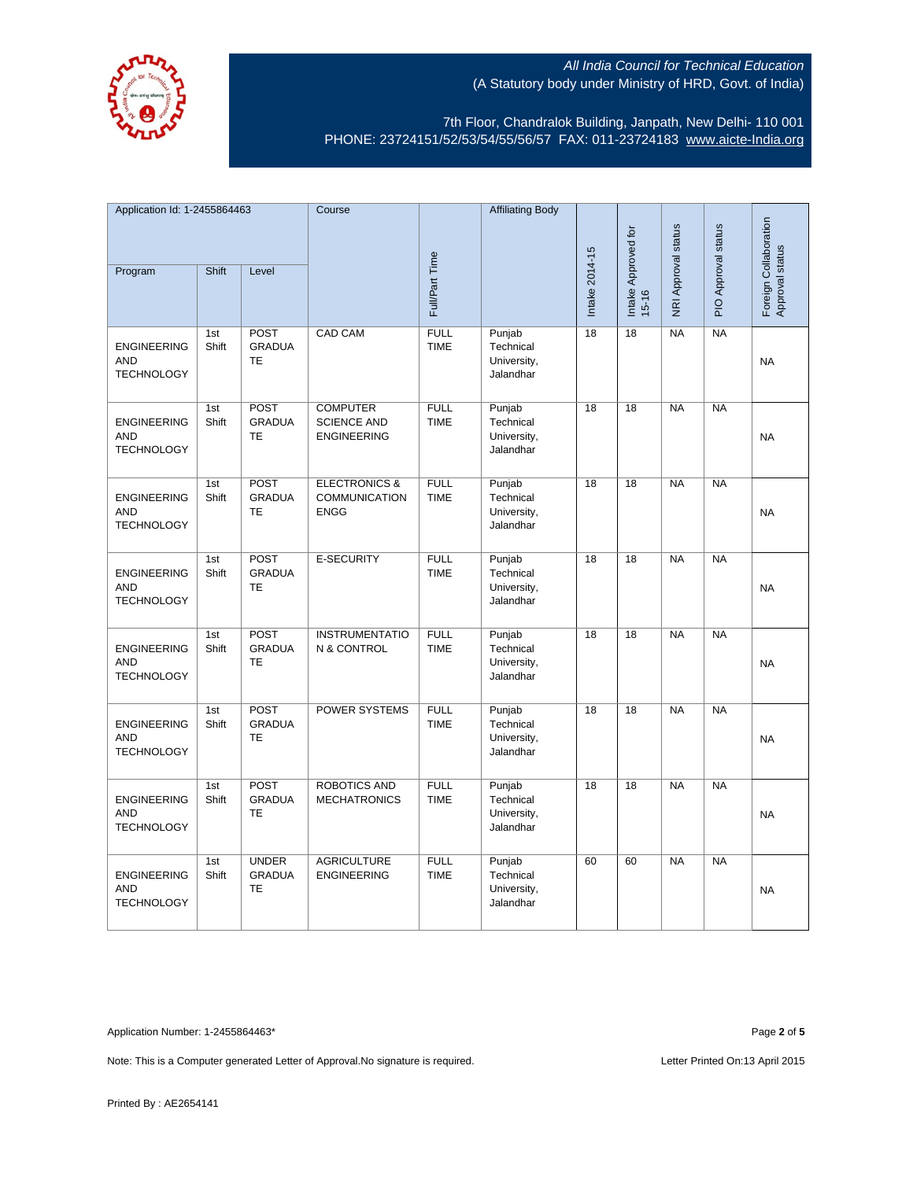

7th Floor, Chandralok Building, Janpath, New Delhi- 110 001 PHONE: 23724151/52/53/54/55/56/57 FAX: 011-23724183 [www.aicte-India.org](http://www.aicte-india.org/)

| Application Id: 1-2455864463                          |              | Course                                     |                                                                 | <b>Affiliating Body</b>    |                                                 |                 |                                  |                            |                     |                                          |
|-------------------------------------------------------|--------------|--------------------------------------------|-----------------------------------------------------------------|----------------------------|-------------------------------------------------|-----------------|----------------------------------|----------------------------|---------------------|------------------------------------------|
| Program                                               | Shift        | Level                                      |                                                                 | Full/Part Time             |                                                 | Intake 2014-15  | Intake Approved for<br>$15 - 16$ | <b>NRI Approval status</b> | PIO Approval status | Foreign Collaboration<br>Approval status |
|                                                       |              |                                            |                                                                 |                            |                                                 |                 |                                  |                            |                     |                                          |
| <b>ENGINEERING</b><br><b>AND</b><br><b>TECHNOLOGY</b> | 1st<br>Shift | POST<br><b>GRADUA</b><br><b>TE</b>         | CAD CAM                                                         | <b>FULL</b><br><b>TIME</b> | Punjab<br>Technical<br>University,<br>Jalandhar | 18              | 18                               | <b>NA</b>                  | <b>NA</b>           | <b>NA</b>                                |
| <b>ENGINEERING</b><br><b>AND</b><br><b>TECHNOLOGY</b> | 1st<br>Shift | POST<br><b>GRADUA</b><br>TE                | <b>COMPUTER</b><br><b>SCIENCE AND</b><br><b>ENGINEERING</b>     | <b>FULL</b><br><b>TIME</b> | Punjab<br>Technical<br>University,<br>Jalandhar | 18              | 18                               | <b>NA</b>                  | <b>NA</b>           | <b>NA</b>                                |
| <b>ENGINEERING</b><br><b>AND</b><br><b>TECHNOLOGY</b> | 1st<br>Shift | POST<br><b>GRADUA</b><br><b>TE</b>         | <b>ELECTRONICS &amp;</b><br><b>COMMUNICATION</b><br><b>ENGG</b> | <b>FULL</b><br><b>TIME</b> | Punjab<br>Technical<br>University,<br>Jalandhar | 18              | $\overline{18}$                  | N <sub>A</sub>             | $N_A$               | <b>NA</b>                                |
| <b>ENGINEERING</b><br><b>AND</b><br><b>TECHNOLOGY</b> | 1st<br>Shift | POST<br><b>GRADUA</b><br><b>TE</b>         | <b>E-SECURITY</b>                                               | <b>FULL</b><br><b>TIME</b> | Punjab<br>Technical<br>University,<br>Jalandhar | $\overline{18}$ | $\overline{18}$                  | N <sub>A</sub>             | $N_A$               | <b>NA</b>                                |
| <b>ENGINEERING</b><br><b>AND</b><br><b>TECHNOLOGY</b> | 1st<br>Shift | POST<br><b>GRADUA</b><br>TE                | <b>INSTRUMENTATIO</b><br>N & CONTROL                            | <b>FULL</b><br><b>TIME</b> | Punjab<br>Technical<br>University,<br>Jalandhar | 18              | 18                               | <b>NA</b>                  | $N_A$               | <b>NA</b>                                |
| <b>ENGINEERING</b><br><b>AND</b><br><b>TECHNOLOGY</b> | 1st<br>Shift | POST<br><b>GRADUA</b><br>TE                | <b>POWER SYSTEMS</b>                                            | <b>FULL</b><br><b>TIME</b> | Punjab<br>Technical<br>University,<br>Jalandhar | 18              | 18                               | <b>NA</b>                  | NA                  | <b>NA</b>                                |
| <b>ENGINEERING</b><br><b>AND</b><br><b>TECHNOLOGY</b> | 1st<br>Shift | <b>POST</b><br><b>GRADUA</b><br>TE         | <b>ROBOTICS AND</b><br><b>MECHATRONICS</b>                      | <b>FULL</b><br><b>TIME</b> | Punjab<br>Technical<br>University,<br>Jalandhar | 18              | 18                               | NA                         | N <sub>A</sub>      | NA                                       |
| <b>ENGINEERING</b><br><b>AND</b><br><b>TECHNOLOGY</b> | 1st<br>Shift | <b>UNDER</b><br><b>GRADUA</b><br><b>TE</b> | <b>AGRICULTURE</b><br><b>ENGINEERING</b>                        | <b>FULL</b><br><b>TIME</b> | Punjab<br>Technical<br>University,<br>Jalandhar | 60              | 60                               | NA                         | NA                  | <b>NA</b>                                |

Application Number: 1-2455864463\* Page **2** of **5**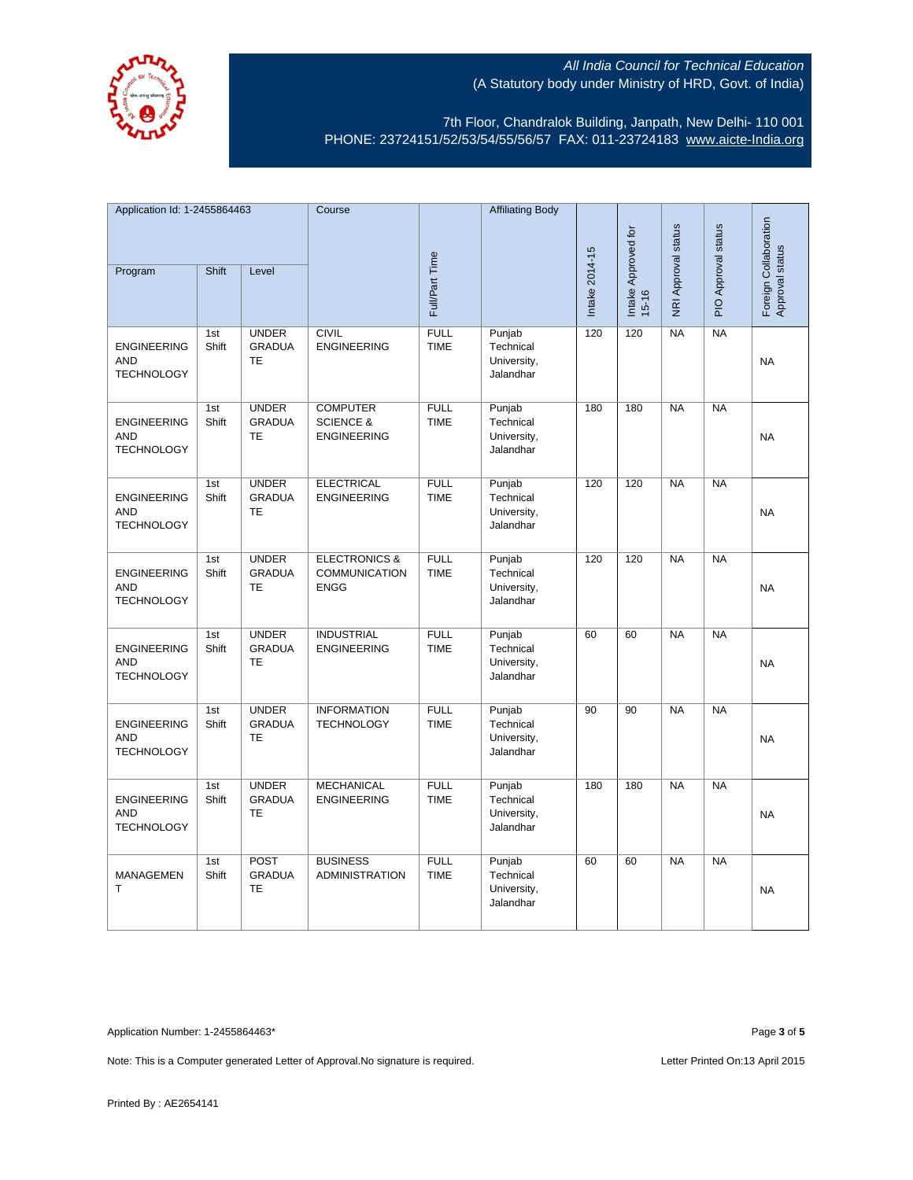

7th Floor, Chandralok Building, Janpath, New Delhi- 110 001 PHONE: 23724151/52/53/54/55/56/57 FAX: 011-23724183 [www.aicte-India.org](http://www.aicte-india.org/)

| Application Id: 1-2455864463                          |              | Course                                     |                                                                 | <b>Affiliating Body</b>    |                                                 |                |                     |                            |                     |                                          |
|-------------------------------------------------------|--------------|--------------------------------------------|-----------------------------------------------------------------|----------------------------|-------------------------------------------------|----------------|---------------------|----------------------------|---------------------|------------------------------------------|
| Program                                               | Shift        | Level                                      |                                                                 | Full/Part Time             |                                                 | Intake 2014-15 | Intake Approved for | <b>NRI Approval status</b> | PIO Approval status | Foreign Collaboration<br>Approval status |
|                                                       |              |                                            |                                                                 |                            |                                                 |                | $15 - 16$           |                            |                     |                                          |
| <b>ENGINEERING</b><br><b>AND</b><br><b>TECHNOLOGY</b> | 1st<br>Shift | <b>UNDER</b><br><b>GRADUA</b><br><b>TE</b> | <b>CIVIL</b><br><b>ENGINEERING</b>                              | <b>FULL</b><br><b>TIME</b> | Punjab<br>Technical<br>University,<br>Jalandhar | 120            | 120                 | <b>NA</b>                  | <b>NA</b>           | <b>NA</b>                                |
| <b>ENGINEERING</b><br><b>AND</b><br><b>TECHNOLOGY</b> | 1st<br>Shift | <b>UNDER</b><br><b>GRADUA</b><br>TE        | <b>COMPUTER</b><br><b>SCIENCE &amp;</b><br><b>ENGINEERING</b>   | <b>FULL</b><br><b>TIME</b> | Punjab<br>Technical<br>University,<br>Jalandhar | 180            | 180                 | <b>NA</b>                  | <b>NA</b>           | <b>NA</b>                                |
| <b>ENGINEERING</b><br><b>AND</b><br><b>TECHNOLOGY</b> | 1st<br>Shift | <b>UNDER</b><br><b>GRADUA</b><br>TE        | <b>ELECTRICAL</b><br><b>ENGINEERING</b>                         | <b>FULL</b><br><b>TIME</b> | Punjab<br>Technical<br>University,<br>Jalandhar | 120            | 120                 | N <sub>A</sub>             | $N_A$               | <b>NA</b>                                |
| <b>ENGINEERING</b><br><b>AND</b><br><b>TECHNOLOGY</b> | 1st<br>Shift | <b>UNDER</b><br><b>GRADUA</b><br><b>TE</b> | <b>ELECTRONICS &amp;</b><br><b>COMMUNICATION</b><br><b>ENGG</b> | <b>FULL</b><br><b>TIME</b> | Punjab<br>Technical<br>University,<br>Jalandhar | 120            | 120                 | NA                         | $N_A$               | <b>NA</b>                                |
| <b>ENGINEERING</b><br><b>AND</b><br><b>TECHNOLOGY</b> | 1st<br>Shift | <b>UNDER</b><br><b>GRADUA</b><br>TE        | <b>INDUSTRIAL</b><br><b>ENGINEERING</b>                         | <b>FULL</b><br><b>TIME</b> | Punjab<br>Technical<br>University,<br>Jalandhar | 60             | 60                  | <b>NA</b>                  | $N_A$               | <b>NA</b>                                |
| <b>ENGINEERING</b><br><b>AND</b><br><b>TECHNOLOGY</b> | 1st<br>Shift | <b>UNDER</b><br><b>GRADUA</b><br>TE        | <b>INFORMATION</b><br><b>TECHNOLOGY</b>                         | <b>FULL</b><br><b>TIME</b> | Punjab<br>Technical<br>University,<br>Jalandhar | 90             | 90                  | <b>NA</b>                  | NA                  | <b>NA</b>                                |
| <b>ENGINEERING</b><br><b>AND</b><br><b>TECHNOLOGY</b> | 1st<br>Shift | <b>UNDER</b><br><b>GRADUA</b><br>TE        | <b>MECHANICAL</b><br><b>ENGINEERING</b>                         | <b>FULL</b><br><b>TIME</b> | Punjab<br>Technical<br>University,<br>Jalandhar | 180            | 180                 | NA                         | NA                  | <b>NA</b>                                |
| <b>MANAGEMEN</b><br>T                                 | 1st<br>Shift | POST<br><b>GRADUA</b><br><b>TE</b>         | <b>BUSINESS</b><br><b>ADMINISTRATION</b>                        | <b>FULL</b><br><b>TIME</b> | Punjab<br>Technical<br>University,<br>Jalandhar | 60             | 60                  | NA                         | NA                  | <b>NA</b>                                |

Application Number: 1-2455864463\* Page **3** of **5**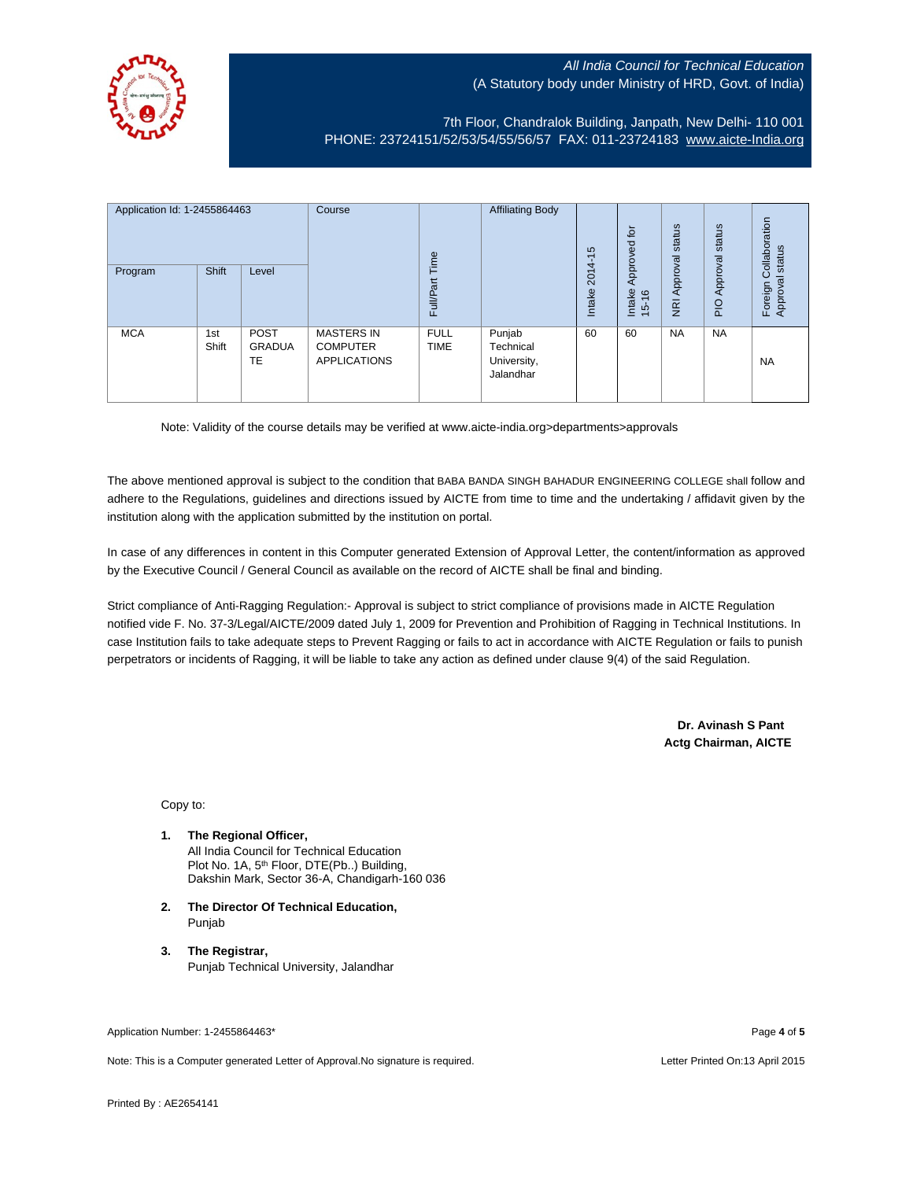

7th Floor, Chandralok Building, Janpath, New Delhi- 110 001 PHONE: 23724151/52/53/54/55/56/57 FAX: 011-23724183 [www.aicte-India.org](http://www.aicte-india.org/)

| Application Id: 1-2455864463<br>Program | <b>Shift</b> | Level                       | Course                                                      | Time<br><b>Full/Part</b>   | <b>Affiliating Body</b>                         | S<br>$\overline{\phantom{0}}$<br>2014<br>Intake | $\overline{p}$<br>g<br>Approve<br>Intake<br>$\frac{6}{2}$<br>$\frac{1}{2}$ | status<br>Approval<br>$\overline{g}$ | status<br>Approval<br>PIO | Collaboration<br>status<br>त्त<br>Foreign<br><b>Approva</b> |
|-----------------------------------------|--------------|-----------------------------|-------------------------------------------------------------|----------------------------|-------------------------------------------------|-------------------------------------------------|----------------------------------------------------------------------------|--------------------------------------|---------------------------|-------------------------------------------------------------|
| <b>MCA</b>                              | 1st<br>Shift | <b>POST</b><br>GRADUA<br>TE | <b>MASTERS IN</b><br><b>COMPUTER</b><br><b>APPLICATIONS</b> | <b>FULL</b><br><b>TIME</b> | Punjab<br>Technical<br>University,<br>Jalandhar | 60                                              | 60                                                                         | <b>NA</b>                            | <b>NA</b>                 | <b>NA</b>                                                   |

Note: Validity of the course details may be verified at www.aicte-india.org>departments>approvals

The above mentioned approval is subject to the condition that BABA BANDA SINGH BAHADUR ENGINEERING COLLEGE shall follow and adhere to the Regulations, guidelines and directions issued by AICTE from time to time and the undertaking / affidavit given by the institution along with the application submitted by the institution on portal.

In case of any differences in content in this Computer generated Extension of Approval Letter, the content/information as approved by the Executive Council / General Council as available on the record of AICTE shall be final and binding.

Strict compliance of Anti-Ragging Regulation:- Approval is subject to strict compliance of provisions made in AICTE Regulation notified vide F. No. 37-3/Legal/AICTE/2009 dated July 1, 2009 for Prevention and Prohibition of Ragging in Technical Institutions. In case Institution fails to take adequate steps to Prevent Ragging or fails to act in accordance with AICTE Regulation or fails to punish perpetrators or incidents of Ragging, it will be liable to take any action as defined under clause 9(4) of the said Regulation.

> **Dr. Avinash S Pant Actg Chairman, AICTE**

Copy to:

- **1. The Regional Officer,** All India Council for Technical Education Plot No. 1A, 5th Floor, DTE(Pb..) Building, Dakshin Mark, Sector 36-A, Chandigarh-160 036
- **2. The Director Of Technical Education,** Punjab
- **3. The Registrar,** Punjab Technical University, Jalandhar

Application Number: 1-2455864463\* Page **4** of **5**

Note: This is a Computer generated Letter of Approval.No signature is required. Letter According the state of the Letter Printed On:13 April 2015